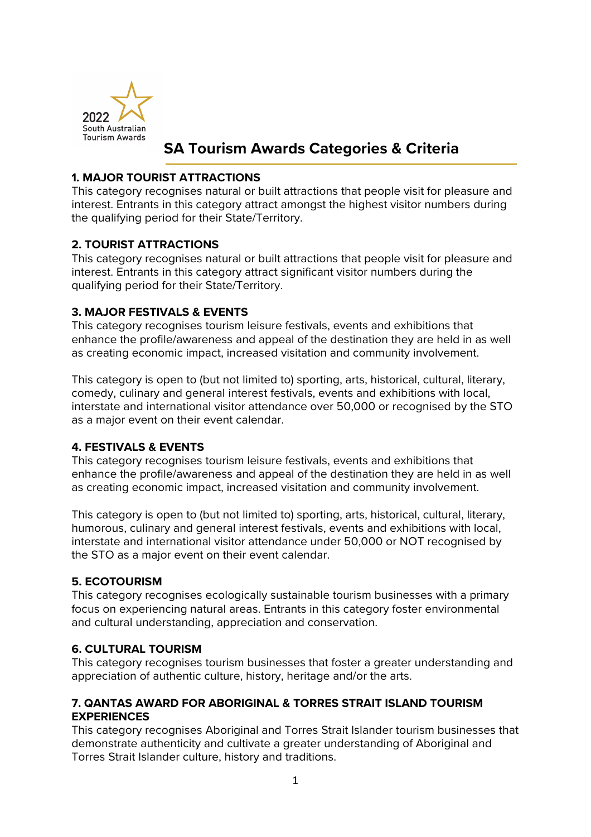

# **SA Tourism Awards Categories & Criteria**

### **1. MAJOR TOURIST ATTRACTIONS**

This category recognises natural or built attractions that people visit for pleasure and interest. Entrants in this category attract amongst the highest visitor numbers during the qualifying period for their State/Territory.

# **2. TOURIST ATTRACTIONS**

This category recognises natural or built attractions that people visit for pleasure and interest. Entrants in this category attract significant visitor numbers during the qualifying period for their State/Territory.

### **3. MAJOR FESTIVALS & EVENTS**

This category recognises tourism leisure festivals, events and exhibitions that enhance the profile/awareness and appeal of the destination they are held in as well as creating economic impact, increased visitation and community involvement.

This category is open to (but not limited to) sporting, arts, historical, cultural, literary, comedy, culinary and general interest festivals, events and exhibitions with local, interstate and international visitor attendance over 50,000 or recognised by the STO as a major event on their event calendar.

# **4. FESTIVALS & EVENTS**

This category recognises tourism leisure festivals, events and exhibitions that enhance the profile/awareness and appeal of the destination they are held in as well as creating economic impact, increased visitation and community involvement.

This category is open to (but not limited to) sporting, arts, historical, cultural, literary, humorous, culinary and general interest festivals, events and exhibitions with local, interstate and international visitor attendance under 50,000 or NOT recognised by the STO as a major event on their event calendar.

# **5. ECOTOURISM**

This category recognises ecologically sustainable tourism businesses with a primary focus on experiencing natural areas. Entrants in this category foster environmental and cultural understanding, appreciation and conservation.

### **6. CULTURAL TOURISM**

This category recognises tourism businesses that foster a greater understanding and appreciation of authentic culture, history, heritage and/or the arts.

### **7. QANTAS AWARD FOR ABORIGINAL & TORRES STRAIT ISLAND TOURISM EXPERIENCES**

This category recognises Aboriginal and Torres Strait Islander tourism businesses that demonstrate authenticity and cultivate a greater understanding of Aboriginal and Torres Strait Islander culture, history and traditions.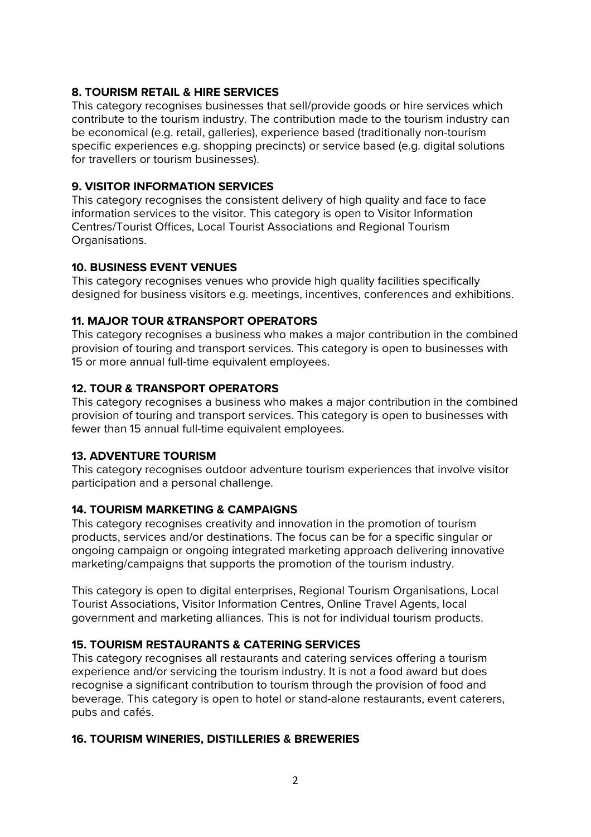### **8. TOURISM RETAIL & HIRE SERVICES**

This category recognises businesses that sell/provide goods or hire services which contribute to the tourism industry. The contribution made to the tourism industry can be economical (e.g. retail, galleries), experience based (traditionally non-tourism specific experiences e.g. shopping precincts) or service based (e.g. digital solutions for travellers or tourism businesses).

### **9. VISITOR INFORMATION SERVICES**

This category recognises the consistent delivery of high quality and face to face information services to the visitor. This category is open to Visitor Information Centres/Tourist Offices, Local Tourist Associations and Regional Tourism Organisations.

### **10. BUSINESS EVENT VENUES**

This category recognises venues who provide high quality facilities specifically designed for business visitors e.g. meetings, incentives, conferences and exhibitions.

### **11. MAJOR TOUR &TRANSPORT OPERATORS**

This category recognises a business who makes a major contribution in the combined provision of touring and transport services. This category is open to businesses with 15 or more annual full-time equivalent employees.

### **12. TOUR & TRANSPORT OPERATORS**

This category recognises a business who makes a major contribution in the combined provision of touring and transport services. This category is open to businesses with fewer than 15 annual full-time equivalent employees.

### **13. ADVENTURE TOURISM**

This category recognises outdoor adventure tourism experiences that involve visitor participation and a personal challenge.

### **14. TOURISM MARKETING & CAMPAIGNS**

This category recognises creativity and innovation in the promotion of tourism products, services and/or destinations. The focus can be for a specific singular or ongoing campaign or ongoing integrated marketing approach delivering innovative marketing/campaigns that supports the promotion of the tourism industry.

This category is open to digital enterprises, Regional Tourism Organisations, Local Tourist Associations, Visitor Information Centres, Online Travel Agents, local government and marketing alliances. This is not for individual tourism products.

# **15. TOURISM RESTAURANTS & CATERING SERVICES**

This category recognises all restaurants and catering services offering a tourism experience and/or servicing the tourism industry. It is not a food award but does recognise a significant contribution to tourism through the provision of food and beverage. This category is open to hotel or stand-alone restaurants, event caterers, pubs and cafés.

# **16. TOURISM WINERIES, DISTILLERIES & BREWERIES**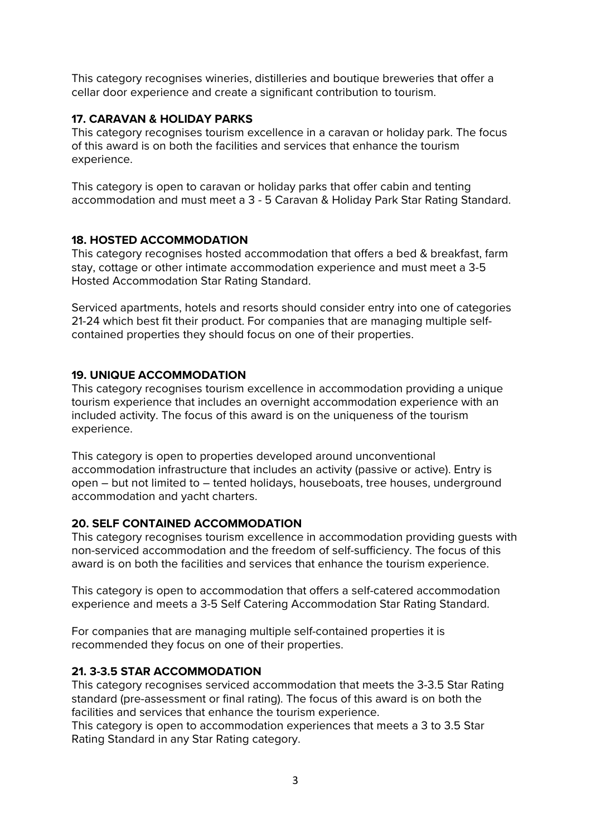This category recognises wineries, distilleries and boutique breweries that offer a cellar door experience and create a significant contribution to tourism.

### **17. CARAVAN & HOLIDAY PARKS**

This category recognises tourism excellence in a caravan or holiday park. The focus of this award is on both the facilities and services that enhance the tourism experience.

This category is open to caravan or holiday parks that offer cabin and tenting accommodation and must meet a 3 - 5 Caravan & Holiday Park Star Rating Standard.

### **18. HOSTED ACCOMMODATION**

This category recognises hosted accommodation that offers a bed & breakfast, farm stay, cottage or other intimate accommodation experience and must meet a 3-5 Hosted Accommodation Star Rating Standard.

Serviced apartments, hotels and resorts should consider entry into one of categories 21-24 which best fit their product. For companies that are managing multiple selfcontained properties they should focus on one of their properties.

### **19. UNIQUE ACCOMMODATION**

This category recognises tourism excellence in accommodation providing a unique tourism experience that includes an overnight accommodation experience with an included activity. The focus of this award is on the uniqueness of the tourism experience.

This category is open to properties developed around unconventional accommodation infrastructure that includes an activity (passive or active). Entry is open – but not limited to – tented holidays, houseboats, tree houses, underground accommodation and yacht charters.

### **20. SELF CONTAINED ACCOMMODATION**

This category recognises tourism excellence in accommodation providing guests with non-serviced accommodation and the freedom of self-sufficiency. The focus of this award is on both the facilities and services that enhance the tourism experience.

This category is open to accommodation that offers a self-catered accommodation experience and meets a 3-5 Self Catering Accommodation Star Rating Standard.

For companies that are managing multiple self-contained properties it is recommended they focus on one of their properties.

### **21. 3-3.5 STAR ACCOMMODATION**

This category recognises serviced accommodation that meets the 3-3.5 Star Rating standard (pre-assessment or final rating). The focus of this award is on both the facilities and services that enhance the tourism experience.

This category is open to accommodation experiences that meets a 3 to 3.5 Star Rating Standard in any Star Rating category.